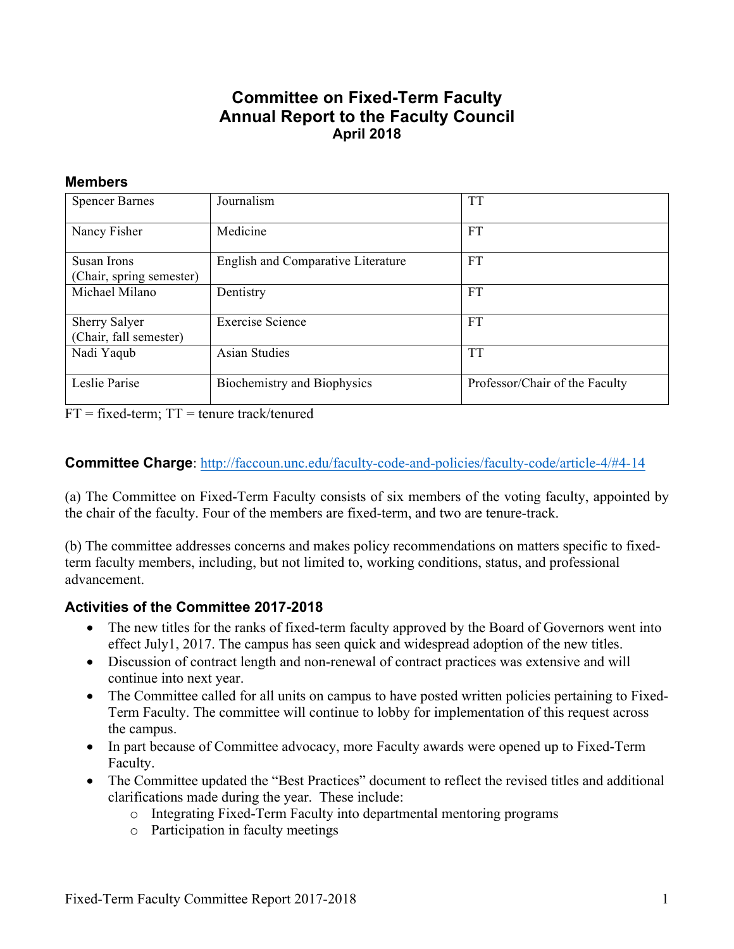## **Committee on Fixed-Term Faculty Annual Report to the Faculty Council April 2018**

#### **Members**

| <b>Spencer Barnes</b>                          | Journalism                                | TT                             |
|------------------------------------------------|-------------------------------------------|--------------------------------|
| Nancy Fisher                                   | Medicine                                  | <b>FT</b>                      |
| Susan Irons<br>(Chair, spring semester)        | <b>English and Comparative Literature</b> | <b>FT</b>                      |
| Michael Milano                                 | Dentistry                                 | <b>FT</b>                      |
| <b>Sherry Salyer</b><br>(Chair, fall semester) | Exercise Science                          | <b>FT</b>                      |
| Nadi Yaqub                                     | <b>Asian Studies</b>                      | <b>TT</b>                      |
| Leslie Parise                                  | Biochemistry and Biophysics               | Professor/Chair of the Faculty |

 $FT = fixed-term$ ;  $TT = t$ enure track/tenured

#### **Committee Charge**: http://faccoun.unc.edu/faculty-code-and-policies/faculty-code/article-4/#4-14

(a) The Committee on Fixed-Term Faculty consists of six members of the voting faculty, appointed by the chair of the faculty. Four of the members are fixed-term, and two are tenure-track.

(b) The committee addresses concerns and makes policy recommendations on matters specific to fixedterm faculty members, including, but not limited to, working conditions, status, and professional advancement.

#### **Activities of the Committee 2017-2018**

- The new titles for the ranks of fixed-term faculty approved by the Board of Governors went into effect July1, 2017. The campus has seen quick and widespread adoption of the new titles.
- Discussion of contract length and non-renewal of contract practices was extensive and will continue into next year.
- The Committee called for all units on campus to have posted written policies pertaining to Fixed-Term Faculty. The committee will continue to lobby for implementation of this request across the campus.
- In part because of Committee advocacy, more Faculty awards were opened up to Fixed-Term Faculty.
- The Committee updated the "Best Practices" document to reflect the revised titles and additional clarifications made during the year. These include:
	- o Integrating Fixed-Term Faculty into departmental mentoring programs
	- o Participation in faculty meetings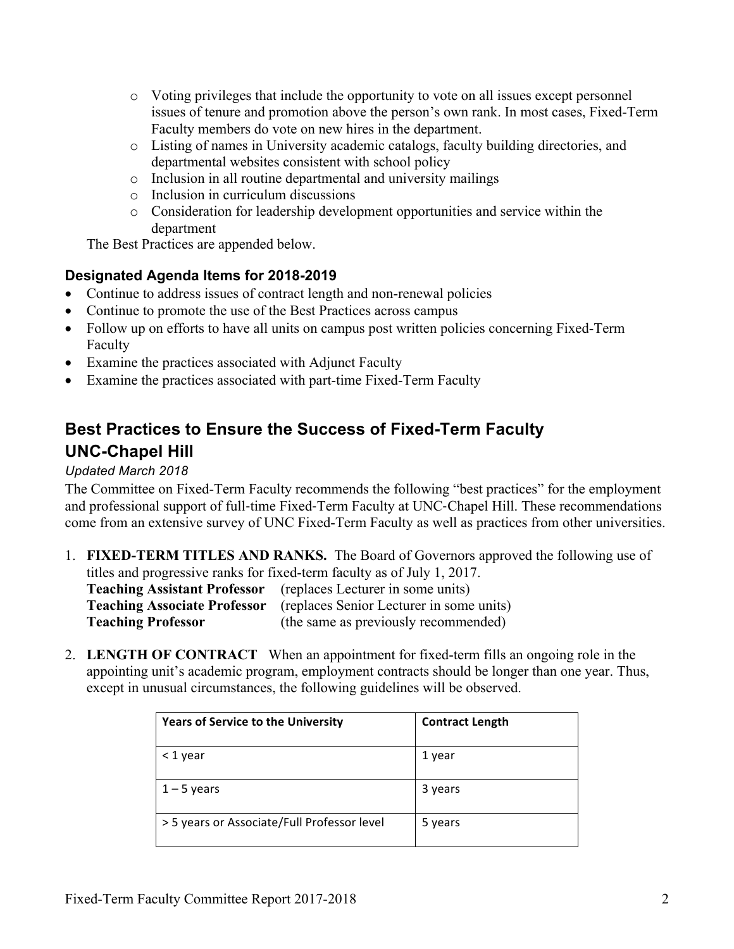- o Voting privileges that include the opportunity to vote on all issues except personnel issues of tenure and promotion above the person's own rank. In most cases, Fixed-Term Faculty members do vote on new hires in the department.
- o Listing of names in University academic catalogs, faculty building directories, and departmental websites consistent with school policy
- o Inclusion in all routine departmental and university mailings
- o Inclusion in curriculum discussions
- o Consideration for leadership development opportunities and service within the department

The Best Practices are appended below.

## **Designated Agenda Items for 2018-2019**

- Continue to address issues of contract length and non-renewal policies
- Continue to promote the use of the Best Practices across campus
- Follow up on efforts to have all units on campus post written policies concerning Fixed-Term Faculty
- Examine the practices associated with Adjunct Faculty
- Examine the practices associated with part-time Fixed-Term Faculty

# **Best Practices to Ensure the Success of Fixed-Term Faculty UNC-Chapel Hill**

### *Updated March 2018*

The Committee on Fixed-Term Faculty recommends the following "best practices" for the employment and professional support of full-time Fixed-Term Faculty at UNC-Chapel Hill. These recommendations come from an extensive survey of UNC Fixed-Term Faculty as well as practices from other universities.

- 1. **FIXED-TERM TITLES AND RANKS.** The Board of Governors approved the following use of titles and progressive ranks for fixed-term faculty as of July 1, 2017. **Teaching Assistant Professor** (replaces Lecturer in some units) **Teaching Associate Professor** (replaces Senior Lecturer in some units) **Teaching Professor** (the same as previously recommended)
- 2. **LENGTH OF CONTRACT** When an appointment for fixed-term fills an ongoing role in the appointing unit's academic program, employment contracts should be longer than one year. Thus, except in unusual circumstances, the following guidelines will be observed.

| <b>Years of Service to the University</b>   | <b>Contract Length</b> |
|---------------------------------------------|------------------------|
| < 1 year                                    | 1 year                 |
| $1 - 5$ years                               | 3 years                |
| > 5 years or Associate/Full Professor level | 5 years                |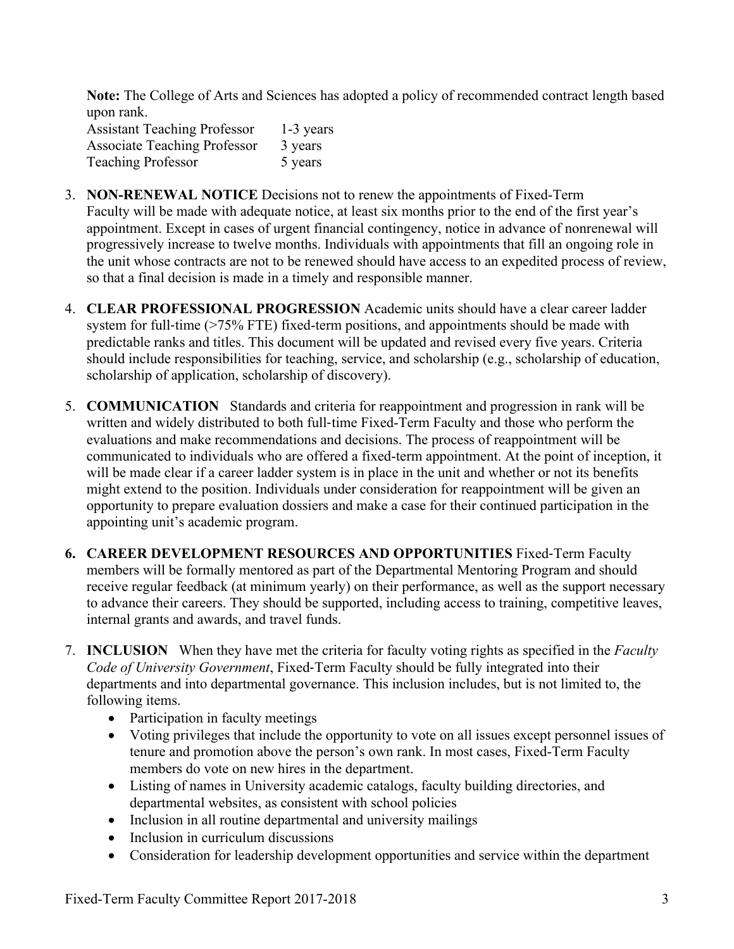**Note:** The College of Arts and Sciences has adopted a policy of recommended contract length based upon rank.

Assistant Teaching Professor 1-3 years Associate Teaching Professor 3 years Teaching Professor 5 years

- 3. **NON-RENEWAL NOTICE** Decisions not to renew the appointments of Fixed-Term Faculty will be made with adequate notice, at least six months prior to the end of the first year's appointment. Except in cases of urgent financial contingency, notice in advance of nonrenewal will progressively increase to twelve months. Individuals with appointments that fill an ongoing role in the unit whose contracts are not to be renewed should have access to an expedited process of review, so that a final decision is made in a timely and responsible manner.
- 4. **CLEAR PROFESSIONAL PROGRESSION** Academic units should have a clear career ladder system for full-time (>75% FTE) fixed-term positions, and appointments should be made with predictable ranks and titles. This document will be updated and revised every five years. Criteria should include responsibilities for teaching, service, and scholarship (e.g., scholarship of education, scholarship of application, scholarship of discovery).
- 5. **COMMUNICATION** Standards and criteria for reappointment and progression in rank will be written and widely distributed to both full-time Fixed-Term Faculty and those who perform the evaluations and make recommendations and decisions. The process of reappointment will be communicated to individuals who are offered a fixed-term appointment. At the point of inception, it will be made clear if a career ladder system is in place in the unit and whether or not its benefits might extend to the position. Individuals under consideration for reappointment will be given an opportunity to prepare evaluation dossiers and make a case for their continued participation in the appointing unit's academic program.
- **6. CAREER DEVELOPMENT RESOURCES AND OPPORTUNITIES** Fixed-Term Faculty members will be formally mentored as part of the Departmental Mentoring Program and should receive regular feedback (at minimum yearly) on their performance, as well as the support necessary to advance their careers. They should be supported, including access to training, competitive leaves, internal grants and awards, and travel funds.
- 7. **INCLUSION** When they have met the criteria for faculty voting rights as specified in the *Faculty Code of University Government*, Fixed-Term Faculty should be fully integrated into their departments and into departmental governance. This inclusion includes, but is not limited to, the following items.
	- Participation in faculty meetings
	- Voting privileges that include the opportunity to vote on all issues except personnel issues of tenure and promotion above the person's own rank. In most cases, Fixed-Term Faculty members do vote on new hires in the department.
	- Listing of names in University academic catalogs, faculty building directories, and departmental websites, as consistent with school policies
	- Inclusion in all routine departmental and university mailings
	- Inclusion in curriculum discussions
	- Consideration for leadership development opportunities and service within the department